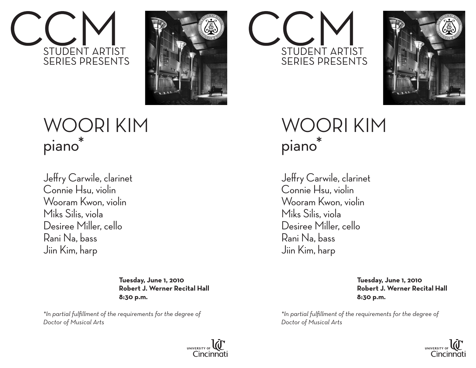



## WOORI KIM piano\*

Jeffry Carwile, clarinet Connie Hsu, violin Wooram Kwon, violin Miks Silis, viola Desiree Miller, cello Rani Na, bass Jiin Kim, harp  $\mathbf{r} = \mathbf{r} \cdot \mathbf{r}$ 

> **Tuesday, June 1, 2010 Robert J. Werner Recital Hall 8:30 p.m.**

*\*In partial fulfillment of the requirements for the degree of Doctor of Musical Arts*